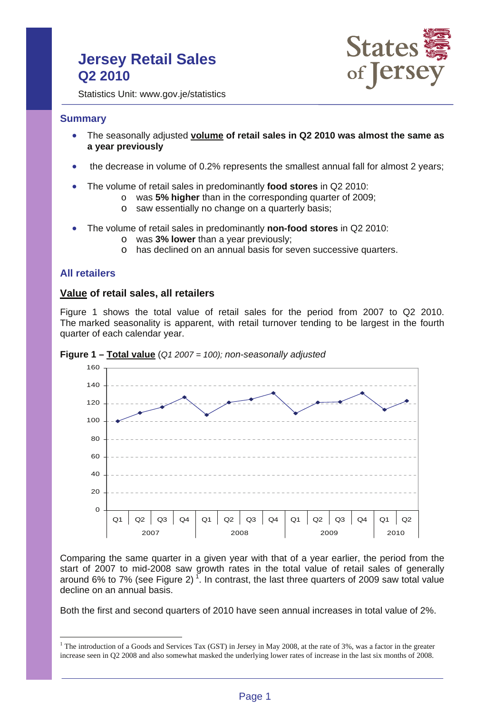# **Jersey Retail Sales Q2 2010**



Statistics Unit: www.gov.je/statistics

### **Summary**

- The seasonally adjusted **volume of retail sales in Q2 2010 was almost the same as a year previously**
- the decrease in volume of 0.2% represents the smallest annual fall for almost 2 years;
- The volume of retail sales in predominantly **food stores** in Q2 2010:
	- o was **5% higher** than in the corresponding quarter of 2009;
	- o saw essentially no change on a quarterly basis;
- The volume of retail sales in predominantly **non-food stores** in Q2 2010:
	- o was **3% lower** than a year previously;
	- o has declined on an annual basis for seven successive quarters.

# **All retailers**

 $\overline{a}$ 

### **Value of retail sales, all retailers**

Figure 1 shows the total value of retail sales for the period from 2007 to Q2 2010. The marked seasonality is apparent, with retail turnover tending to be largest in the fourth quarter of each calendar year.



**Figure 1 – Total value** (*Q1 2007 = 100); non-seasonally adjusted*

Comparing the same quarter in a given year with that of a year earlier, the period from the start of 2007 to mid-2008 saw growth rates in the total value of retail sales of generally around 6% to 7% (see Figure 2)<sup>1</sup>. In contrast, the last three quarters of 2009 saw total value decline on an annual basis.

Both the first and second quarters of 2010 have seen annual increases in total value of 2%.

<sup>&</sup>lt;sup>1</sup> The introduction of a Goods and Services Tax (GST) in Jersey in May 2008, at the rate of 3%, was a factor in the greater increase seen in Q2 2008 and also somewhat masked the underlying lower rates of increase in the last six months of 2008.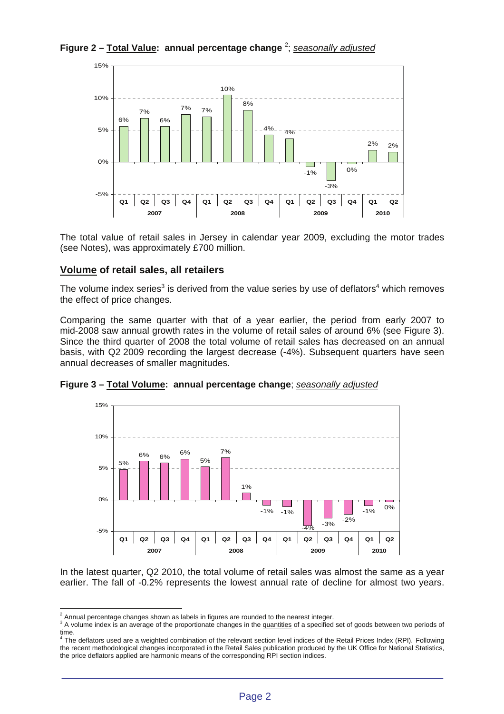**Figure 2 – Total Value: annual percentage change** <sup>2</sup> ; *seasonally adjusted*



The total value of retail sales in Jersey in calendar year 2009, excluding the motor trades (see Notes), was approximately £700 million.

# **Volume of retail sales, all retailers**

The volume index series<sup>3</sup> is derived from the value series by use of deflators<sup>4</sup> which removes the effect of price changes.

Comparing the same quarter with that of a year earlier, the period from early 2007 to mid-2008 saw annual growth rates in the volume of retail sales of around 6% (see Figure 3). Since the third quarter of 2008 the total volume of retail sales has decreased on an annual basis, with Q2 2009 recording the largest decrease (-4%). Subsequent quarters have seen annual decreases of smaller magnitudes.



**Figure 3 – Total Volume: annual percentage change**; *seasonally adjusted*

In the latest quarter, Q2 2010, the total volume of retail sales was almost the same as a year earlier. The fall of -0.2% represents the lowest annual rate of decline for almost two years.

<sup>&</sup>lt;sup>2</sup> Annual percentage changes shown as labels in figures are rounded to the nearest integer.<br><sup>3</sup> A valume index is an overage of the prepartients changes in the quantities of a aposition

<sup>&</sup>lt;sup>3</sup> A volume index is an average of the proportionate changes in the quantities of a specified set of goods between two periods of time.<br><sup>4</sup> The deflators used are a weighted combination of the relevant section level indices of the Retail Prices Index (RPI). Following

the recent methodological changes incorporated in the Retail Sales publication produced by the UK Office for National Statistics, the price deflators applied are harmonic means of the corresponding RPI section indices.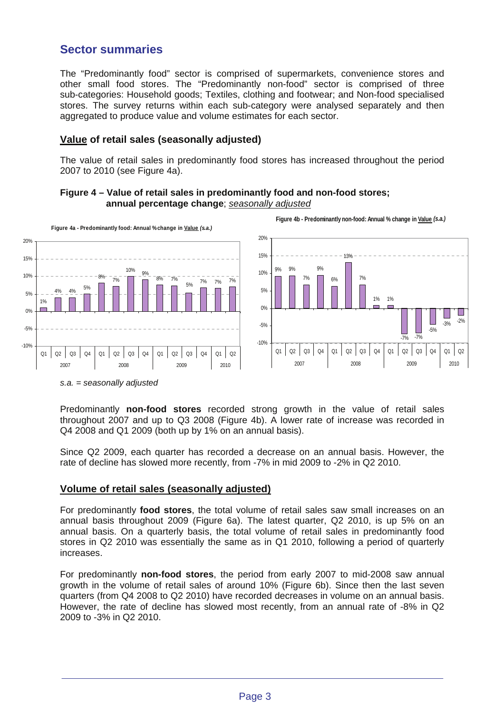# **Sector summaries**

The "Predominantly food" sector is comprised of supermarkets, convenience stores and other small food stores. The "Predominantly non-food" sector is comprised of three sub-categories: Household goods; Textiles, clothing and footwear; and Non-food specialised stores. The survey returns within each sub-category were analysed separately and then aggregated to produce value and volume estimates for each sector.

# **Value of retail sales (seasonally adjusted)**

The value of retail sales in predominantly food stores has increased throughout the period 2007 to 2010 (see Figure 4a).





*s.a. = seasonally adjusted* 

Predominantly **non-food stores** recorded strong growth in the value of retail sales throughout 2007 and up to Q3 2008 (Figure 4b). A lower rate of increase was recorded in Q4 2008 and Q1 2009 (both up by 1% on an annual basis).

Since Q2 2009, each quarter has recorded a decrease on an annual basis. However, the rate of decline has slowed more recently, from -7% in mid 2009 to -2% in Q2 2010.

# **Volume of retail sales (seasonally adjusted)**

For predominantly **food stores**, the total volume of retail sales saw small increases on an annual basis throughout 2009 (Figure 6a). The latest quarter, Q2 2010, is up 5% on an annual basis. On a quarterly basis, the total volume of retail sales in predominantly food stores in Q2 2010 was essentially the same as in Q1 2010, following a period of quarterly increases.

For predominantly **non-food stores**, the period from early 2007 to mid-2008 saw annual growth in the volume of retail sales of around 10% (Figure 6b). Since then the last seven quarters (from Q4 2008 to Q2 2010) have recorded decreases in volume on an annual basis. However, the rate of decline has slowed most recently, from an annual rate of -8% in Q2 2009 to -3% in Q2 2010.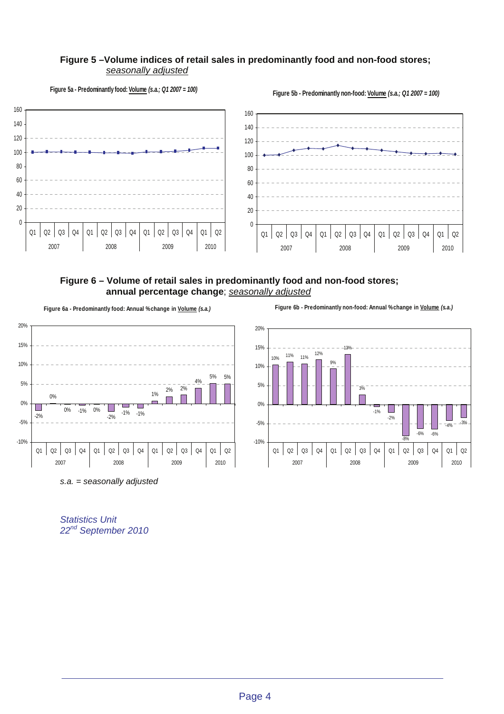#### **Figure 5 –Volume indices of retail sales in predominantly food and non-food stores;** *seasonally adjusted*



**Figure 5b - Predominantly non-food: Volume** *(s.a.; Q1 2007 = 100)*



# **Figure 6 – Volume of retail sales in predominantly food and non-food stores; annual percentage change**; *seasonally adjusted*

**Figure 6a - Predominantly food: Annual % change in Volume** *(s.a.)*



**Figure 6b - Predominantly non-food: Annual % change in Volume** *(s.a.)*



*Statistics Unit 22nd September 2010*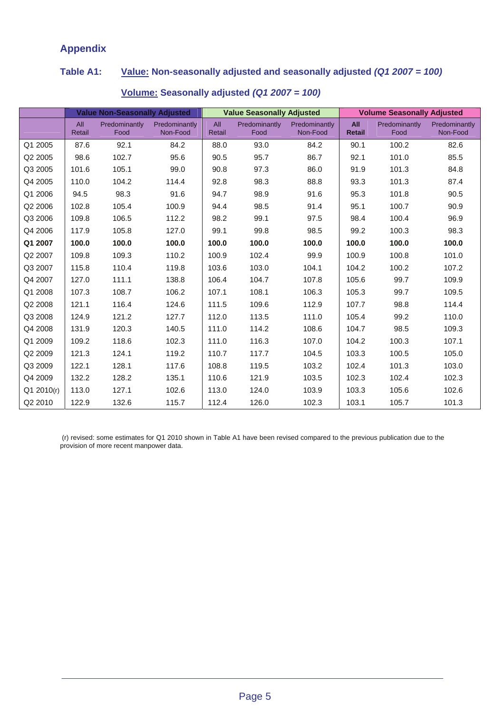# **Appendix**

# **Table A1: Value: Non-seasonally adjusted and seasonally adjusted** *(Q1 2007 = 100)*

|            | <b>Value Non-Seasonally Adjusted</b> |                       |                           | <b>Value Seasonally Adjusted</b> |                       |                           | <b>Volume Seasonally Adjusted</b> |                       |                           |
|------------|--------------------------------------|-----------------------|---------------------------|----------------------------------|-----------------------|---------------------------|-----------------------------------|-----------------------|---------------------------|
|            | All<br>Retail                        | Predominantly<br>Food | Predominantly<br>Non-Food | All<br>Retail                    | Predominantly<br>Food | Predominantly<br>Non-Food | All<br><b>Retail</b>              | Predominantly<br>Food | Predominantly<br>Non-Food |
| Q1 2005    | 87.6                                 | 92.1                  | 84.2                      | 88.0                             | 93.0                  | 84.2                      | 90.1                              | 100.2                 | 82.6                      |
| Q2 2005    | 98.6                                 | 102.7                 | 95.6                      | 90.5                             | 95.7                  | 86.7                      | 92.1                              | 101.0                 | 85.5                      |
| Q3 2005    | 101.6                                | 105.1                 | 99.0                      | 90.8                             | 97.3                  | 86.0                      | 91.9                              | 101.3                 | 84.8                      |
| Q4 2005    | 110.0                                | 104.2                 | 114.4                     | 92.8                             | 98.3                  | 88.8                      | 93.3                              | 101.3                 | 87.4                      |
| Q1 2006    | 94.5                                 | 98.3                  | 91.6                      | 94.7                             | 98.9                  | 91.6                      | 95.3                              | 101.8                 | 90.5                      |
| Q2 2006    | 102.8                                | 105.4                 | 100.9                     | 94.4                             | 98.5                  | 91.4                      | 95.1                              | 100.7                 | 90.9                      |
| Q3 2006    | 109.8                                | 106.5                 | 112.2                     | 98.2                             | 99.1                  | 97.5                      | 98.4                              | 100.4                 | 96.9                      |
| Q4 2006    | 117.9                                | 105.8                 | 127.0                     | 99.1                             | 99.8                  | 98.5                      | 99.2                              | 100.3                 | 98.3                      |
| Q1 2007    | 100.0                                | 100.0                 | 100.0                     | 100.0                            | 100.0                 | 100.0                     | 100.0                             | 100.0                 | 100.0                     |
| Q2 2007    | 109.8                                | 109.3                 | 110.2                     | 100.9                            | 102.4                 | 99.9                      | 100.9                             | 100.8                 | 101.0                     |
| Q3 2007    | 115.8                                | 110.4                 | 119.8                     | 103.6                            | 103.0                 | 104.1                     | 104.2                             | 100.2                 | 107.2                     |
| Q4 2007    | 127.0                                | 111.1                 | 138.8                     | 106.4                            | 104.7                 | 107.8                     | 105.6                             | 99.7                  | 109.9                     |
| Q1 2008    | 107.3                                | 108.7                 | 106.2                     | 107.1                            | 108.1                 | 106.3                     | 105.3                             | 99.7                  | 109.5                     |
| Q2 2008    | 121.1                                | 116.4                 | 124.6                     | 111.5                            | 109.6                 | 112.9                     | 107.7                             | 98.8                  | 114.4                     |
| Q3 2008    | 124.9                                | 121.2                 | 127.7                     | 112.0                            | 113.5                 | 111.0                     | 105.4                             | 99.2                  | 110.0                     |
| Q4 2008    | 131.9                                | 120.3                 | 140.5                     | 111.0                            | 114.2                 | 108.6                     | 104.7                             | 98.5                  | 109.3                     |
| Q1 2009    | 109.2                                | 118.6                 | 102.3                     | 111.0                            | 116.3                 | 107.0                     | 104.2                             | 100.3                 | 107.1                     |
| Q2 2009    | 121.3                                | 124.1                 | 119.2                     | 110.7                            | 117.7                 | 104.5                     | 103.3                             | 100.5                 | 105.0                     |
| Q3 2009    | 122.1                                | 128.1                 | 117.6                     | 108.8                            | 119.5                 | 103.2                     | 102.4                             | 101.3                 | 103.0                     |
| Q4 2009    | 132.2                                | 128.2                 | 135.1                     | 110.6                            | 121.9                 | 103.5                     | 102.3                             | 102.4                 | 102.3                     |
| Q1 2010(r) | 113.0                                | 127.1                 | 102.6                     | 113.0                            | 124.0                 | 103.9                     | 103.3                             | 105.6                 | 102.6                     |
| Q2 2010    | 122.9                                | 132.6                 | 115.7                     | 112.4                            | 126.0                 | 102.3                     | 103.1                             | 105.7                 | 101.3                     |

# **Volume: Seasonally adjusted** *(Q1 2007 = 100)*

 (r) revised: some estimates for Q1 2010 shown in Table A1 have been revised compared to the previous publication due to the provision of more recent manpower data.